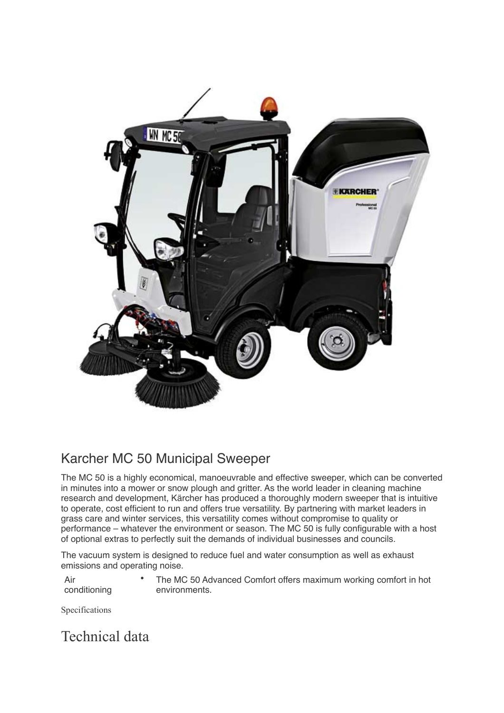

## Karcher MC 50 Municipal Sweeper

The MC 50 is a highly economical, manoeuvrable and effective sweeper, which can be converted in minutes into a mower or snow plough and gritter. As the world leader in cleaning machine research and development, Kärcher has produced a thoroughly modern sweeper that is intuitive to operate, cost efficient to run and offers true versatility. By partnering with market leaders in grass care and winter services, this versatility comes without compromise to quality or performance – whatever the environment or season. The MC 50 is fully configurable with a host of optional extras to perfectly suit the demands of individual businesses and councils.

The vacuum system is designed to reduce fuel and water consumption as well as exhaust emissions and operating noise.

Air conditioning • The MC 50 Advanced Comfort offers maximum working comfort in hot environments.

Specifications

Technical data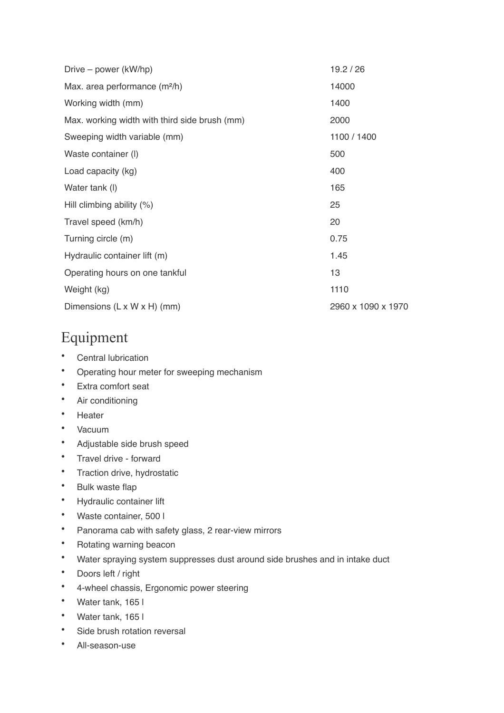| Drive – power (kW/hp)                         | 19.2 / 26          |
|-----------------------------------------------|--------------------|
| Max. area performance (m <sup>2</sup> /h)     | 14000              |
| Working width (mm)                            | 1400               |
| Max. working width with third side brush (mm) | 2000               |
| Sweeping width variable (mm)                  | 1100 / 1400        |
| Waste container (I)                           | 500                |
| Load capacity (kg)                            | 400                |
| Water tank (I)                                | 165                |
| Hill climbing ability $(\%)$                  | 25                 |
| Travel speed (km/h)                           | 20                 |
| Turning circle (m)                            | 0.75               |
| Hydraulic container lift (m)                  | 1.45               |
| Operating hours on one tankful                | 13                 |
| Weight (kg)                                   | 1110               |
| Dimensions (L x W x H) (mm)                   | 2960 x 1090 x 1970 |

## Equipment

- Central lubrication
- Operating hour meter for sweeping mechanism
- Extra comfort seat
- Air conditioning
- Heater
- Vacuum
- Adjustable side brush speed
- Travel drive forward
- Traction drive, hydrostatic
- Bulk waste flap
- Hydraulic container lift
- Waste container, 500 l
- Panorama cab with safety glass, 2 rear-view mirrors
- Rotating warning beacon
- Water spraying system suppresses dust around side brushes and in intake duct
- Doors left / right
- 4-wheel chassis, Ergonomic power steering
- Water tank, 165 l
- Water tank, 165 l
- Side brush rotation reversal
- All-season-use